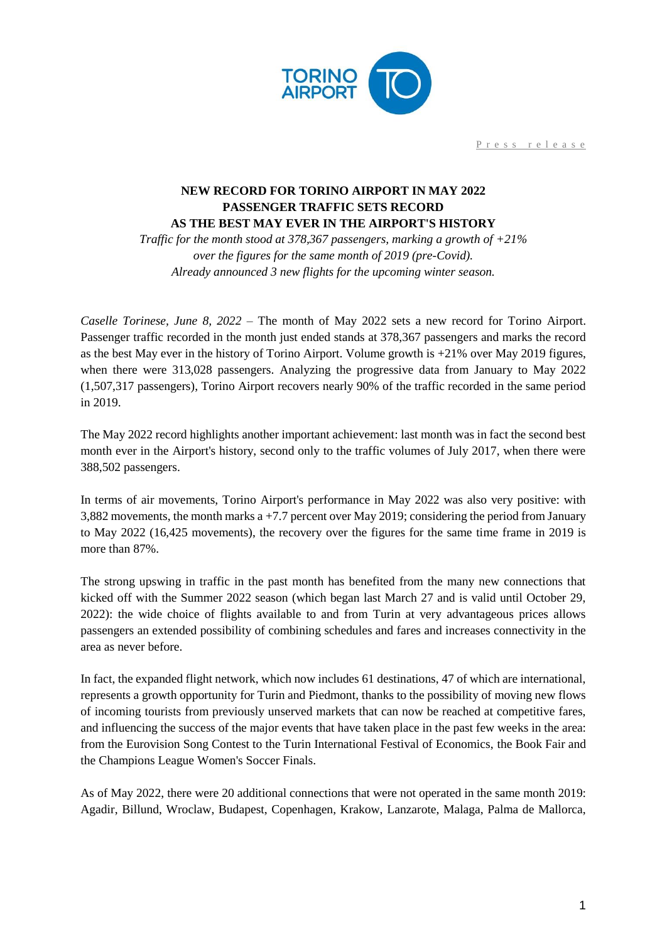

Press release

## **NEW RECORD FOR TORINO AIRPORT IN MAY 2022 PASSENGER TRAFFIC SETS RECORD AS THE BEST MAY EVER IN THE AIRPORT'S HISTORY**

*Traffic for the month stood at 378,367 passengers, marking a growth of +21% over the figures for the same month of 2019 (pre-Covid). Already announced 3 new flights for the upcoming winter season.*

*Caselle Torinese, June 8, 2022* – The month of May 2022 sets a new record for Torino Airport. Passenger traffic recorded in the month just ended stands at 378,367 passengers and marks the record as the best May ever in the history of Torino Airport. Volume growth is +21% over May 2019 figures, when there were 313,028 passengers. Analyzing the progressive data from January to May 2022 (1,507,317 passengers), Torino Airport recovers nearly 90% of the traffic recorded in the same period in 2019.

The May 2022 record highlights another important achievement: last month was in fact the second best month ever in the Airport's history, second only to the traffic volumes of July 2017, when there were 388,502 passengers.

In terms of air movements, Torino Airport's performance in May 2022 was also very positive: with 3,882 movements, the month marks a +7.7 percent over May 2019; considering the period from January to May 2022 (16,425 movements), the recovery over the figures for the same time frame in 2019 is more than 87%.

The strong upswing in traffic in the past month has benefited from the many new connections that kicked off with the Summer 2022 season (which began last March 27 and is valid until October 29, 2022): the wide choice of flights available to and from Turin at very advantageous prices allows passengers an extended possibility of combining schedules and fares and increases connectivity in the area as never before.

In fact, the expanded flight network, which now includes 61 destinations, 47 of which are international, represents a growth opportunity for Turin and Piedmont, thanks to the possibility of moving new flows of incoming tourists from previously unserved markets that can now be reached at competitive fares, and influencing the success of the major events that have taken place in the past few weeks in the area: from the Eurovision Song Contest to the Turin International Festival of Economics, the Book Fair and the Champions League Women's Soccer Finals.

As of May 2022, there were 20 additional connections that were not operated in the same month 2019: Agadir, Billund, Wroclaw, Budapest, Copenhagen, Krakow, Lanzarote, Malaga, Palma de Mallorca,